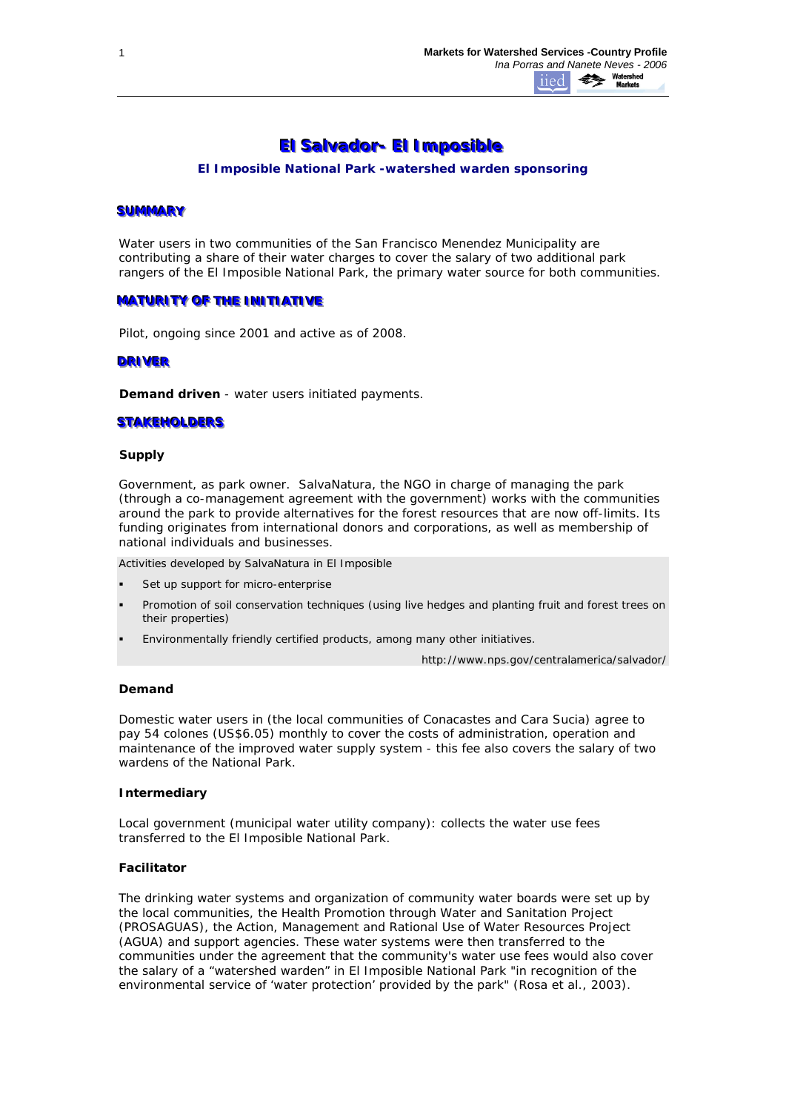# **EI Salvador- EI Imposible**

*El Imposible National Park -watershed warden sponsoring*

#### **SUMMARY**

Water users in two communities of the San Francisco Menendez Municipality are contributing a share of their water charges to cover the salary of two additional park rangers of the El Imposible National Park, the primary water source for both communities.

## **MATURITY OF THE INITIATIVE**

Pilot, ongoing since 2001 and active as of 2008.

#### **DRIVER**

*Demand driven* - water users initiated payments.

## **STAKEHOLDERS**

#### **Supply**

Government, as park owner. SalvaNatura, the NGO in charge of managing the park (through a co-management agreement with the government) works with the communities around the park to provide alternatives for the forest resources that are now off-limits. Its funding originates from international donors and corporations, as well as membership of national individuals and businesses.

*Activities developed by SalvaNatura in El Imposible*

- Set up support for micro-enterprise
- Promotion of soil conservation techniques (using live hedges and planting fruit and forest trees on their properties)
- Environmentally friendly certified products, among many other initiatives.

http://www.nps.gov/centralamerica/salvador/

#### **Demand**

Domestic water users in (the local communities of Conacastes and Cara Sucia) agree to pay 54 colones (US\$6.05) monthly to cover the costs of administration, operation and maintenance of the improved water supply system - this fee also covers the salary of two wardens of the National Park.

#### **Intermediary**

*Local government (municipal water utility company):* collects the water use fees transferred to the El Imposible National Park.

## **Facilitator**

The drinking water systems and organization of community water boards were set up by the local communities, the Health Promotion through Water and Sanitation Project (PROSAGUAS), the Action, Management and Rational Use of Water Resources Project (AGUA) and support agencies. These water systems were then transferred to the communities under the agreement that the community's water use fees would also cover the salary of a "watershed warden" in El Imposible National Park "in recognition of the environmental service of 'water protection' provided by the park" (Rosa et al., 2003).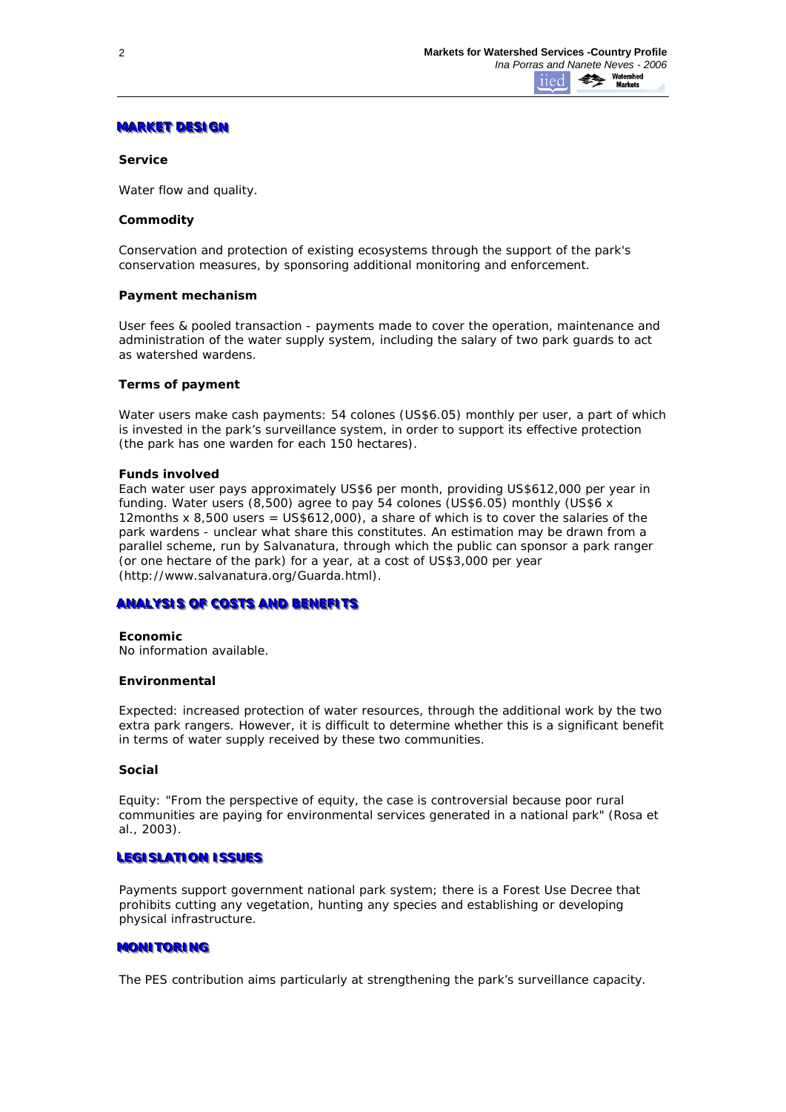# **MARKET DESIGN**

## **Service**

Water flow and quality.

## **Commodity**

*Conservation and protection of existing ecosystems* through the support of the park's conservation measures, by sponsoring additional monitoring and enforcement.

## **Payment mechanism**

User fees & pooled transaction - payments made to cover the operation, maintenance and administration of the water supply system, including the salary of two park guards to act as watershed wardens.

## **Terms of payment**

Water users make cash payments: 54 colones (US\$6.05) monthly per user, a part of which is invested in the park's surveillance system, in order to support its effective protection (the park has one warden for each 150 hectares).

#### **Funds involved**

Each water user pays approximately US\$6 per month, providing US\$612,000 per year in funding. Water users (8,500) agree to pay 54 colones (US\$6.05) monthly (US\$6 x 12months x 8,500 users = US\$612,000), a share of which is to cover the salaries of the park wardens - unclear what share this constitutes. An estimation may be drawn from a parallel scheme, run by Salvanatura, through which the public can sponsor a park ranger (or one hectare of the park) for a year, at a cost of US\$3,000 per year (http://www.salvanatura.org/Guarda.html).

# **ANALYSIS OF COSTS AND BENEFITS**

#### **Economic**

No information available.

#### **Environmental**

*Expected:* increased protection of water resources, through the additional work by the two extra park rangers. However, it is difficult to determine whether this is a significant benefit in terms of water supply received by these two communities.

#### **Social**

*Equity:* "From the perspective of equity, the case is controversial because poor rural communities are paying for environmental services generated in a national park" (Rosa et al., 2003).

# LEGISLATION ISSUES

Payments support government national park system; there is a Forest Use Decree that prohibits cutting any vegetation, hunting any species and establishing or developing physical infrastructure.

# **MONITORING**

The PES contribution aims particularly at strengthening the park's surveillance capacity.